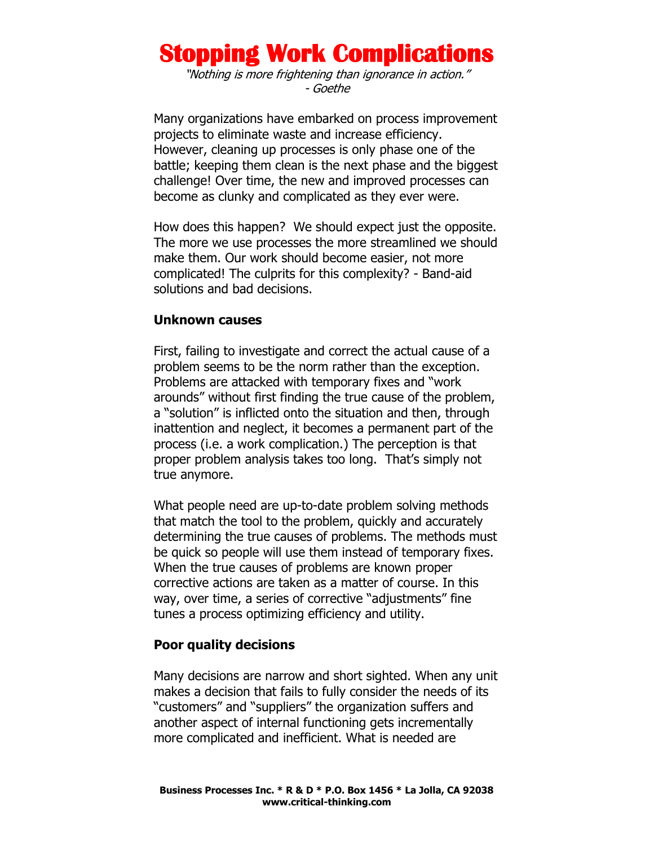# **Stopping Work Complications**

"Nothing is more frightening than ignorance in action." - Goethe

Many organizations have embarked on process improvement projects to eliminate waste and increase efficiency. However, cleaning up processes is only phase one of the battle; keeping them clean is the next phase and the biggest challenge! Over time, the new and improved processes can become as clunky and complicated as they ever were.

How does this happen? We should expect just the opposite. The more we use processes the more streamlined we should make them. Our work should become easier, not more complicated! The culprits for this complexity? - Band-aid solutions and bad decisions.

### **Unknown causes**

First, failing to investigate and correct the actual cause of a problem seems to be the norm rather than the exception. Problems are attacked with temporary fixes and "work arounds" without first finding the true cause of the problem, a "solution" is inflicted onto the situation and then, through inattention and neglect, it becomes a permanent part of the process (i.e. a work complication.) The perception is that proper problem analysis takes too long. That's simply not true anymore.

What people need are up-to-date problem solving methods that match the tool to the problem, quickly and accurately determining the true causes of problems. The methods must be quick so people will use them instead of temporary fixes. When the true causes of problems are known proper corrective actions are taken as a matter of course. In this way, over time, a series of corrective "adjustments" fine tunes a process optimizing efficiency and utility.

## **Poor quality decisions**

Many decisions are narrow and short sighted. When any unit makes a decision that fails to fully consider the needs of its "customers" and "suppliers" the organization suffers and another aspect of internal functioning gets incrementally more complicated and inefficient. What is needed are